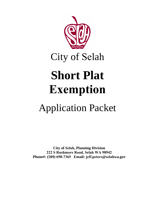

City of Selah

# **Short Plat Exemption**

## Application Packet

**City of Selah, Planning Division 222 S Rushmore Road, Selah WA 98942 Phone#: (509) 698-7365 Email: jeff.peters@selahwa.gov**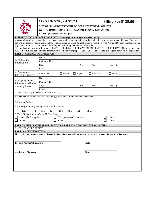|                                                                                                                                                                                                                                                                                                                                                                                                                                                                                                                                                                                                                                                                                          | <b>UJ QTV'RNCV'GZGO RVKQP</b><br>CITY OF SELAH DEPARTMENT OF COMMUNITY DEVELOPMENT<br>222 S RUSHMORE ROAD SELAH WA 98942 PHONE: (509) 698-7365 |              |              | Filing Fee \$125.00 |                           |  |  |
|------------------------------------------------------------------------------------------------------------------------------------------------------------------------------------------------------------------------------------------------------------------------------------------------------------------------------------------------------------------------------------------------------------------------------------------------------------------------------------------------------------------------------------------------------------------------------------------------------------------------------------------------------------------------------------------|------------------------------------------------------------------------------------------------------------------------------------------------|--------------|--------------|---------------------|---------------------------|--|--|
|                                                                                                                                                                                                                                                                                                                                                                                                                                                                                                                                                                                                                                                                                          | EMAIL: jeff.peters@selahwa.gov                                                                                                                 |              |              |                     |                           |  |  |
| <b>INSTRUCTIONS – PLEASE READ FIRST</b> Please type or print your answers clearly.                                                                                                                                                                                                                                                                                                                                                                                                                                                                                                                                                                                                       |                                                                                                                                                |              |              |                     |                           |  |  |
| Answer all questions completely. If you have any questions about this form or the application process, please ask a Planner. Remember<br>to bring all necessary attachments and the required filing fee when the application is submitted. The Planning Division cannot accept an<br>application unless it is complete and the filing fee paid. Filing fees are not refundable.<br>This application consists of four parts. PART I - GENERAL INFORMATION AND PART IV - CERTIFICATION are on this page.<br>PART II and III contain additional information specific to your proposal and MUST be attached to this page to complete the application.<br><b>PART I - GENERAL INFORMATION</b> |                                                                                                                                                |              |              |                     |                           |  |  |
|                                                                                                                                                                                                                                                                                                                                                                                                                                                                                                                                                                                                                                                                                          |                                                                                                                                                |              |              |                     |                           |  |  |
| 1. Applicant's<br>Information:                                                                                                                                                                                                                                                                                                                                                                                                                                                                                                                                                                                                                                                           | Name:<br>Mailing Address:                                                                                                                      |              |              |                     |                           |  |  |
|                                                                                                                                                                                                                                                                                                                                                                                                                                                                                                                                                                                                                                                                                          |                                                                                                                                                |              | St:          | Zip:                | Phone: (                  |  |  |
|                                                                                                                                                                                                                                                                                                                                                                                                                                                                                                                                                                                                                                                                                          | City:<br>E-Mail:                                                                                                                               |              |              |                     | $\mathcal{E}$             |  |  |
| 2. Applicant's                                                                                                                                                                                                                                                                                                                                                                                                                                                                                                                                                                                                                                                                           | Check One:                                                                                                                                     | $\Box$ Owner | $\Box$ Agent | $\Box$ Purchaser    | Other                     |  |  |
| Interest in Property:                                                                                                                                                                                                                                                                                                                                                                                                                                                                                                                                                                                                                                                                    |                                                                                                                                                |              |              |                     |                           |  |  |
| 3. Property Owner's<br>Information (If other<br>than Applicant):                                                                                                                                                                                                                                                                                                                                                                                                                                                                                                                                                                                                                         | Name:                                                                                                                                          |              |              |                     |                           |  |  |
|                                                                                                                                                                                                                                                                                                                                                                                                                                                                                                                                                                                                                                                                                          | Mailing Address:                                                                                                                               |              |              |                     |                           |  |  |
|                                                                                                                                                                                                                                                                                                                                                                                                                                                                                                                                                                                                                                                                                          | City:                                                                                                                                          |              | St:          | Zip:                | Phone: (<br>$\mathcal{E}$ |  |  |
|                                                                                                                                                                                                                                                                                                                                                                                                                                                                                                                                                                                                                                                                                          | E-Mail:                                                                                                                                        |              |              |                     |                           |  |  |
| 4. Subject Property's Assessor's Parcel Number(s):                                                                                                                                                                                                                                                                                                                                                                                                                                                                                                                                                                                                                                       |                                                                                                                                                |              |              |                     |                           |  |  |
| 5. Legal Description of Property. (if lengthy, please attach it on a separate document)                                                                                                                                                                                                                                                                                                                                                                                                                                                                                                                                                                                                  |                                                                                                                                                |              |              |                     |                           |  |  |
| 6. Property Address:                                                                                                                                                                                                                                                                                                                                                                                                                                                                                                                                                                                                                                                                     |                                                                                                                                                |              |              |                     |                           |  |  |
| 7. Property's Existing Zoning: (Circle all that apply)                                                                                                                                                                                                                                                                                                                                                                                                                                                                                                                                                                                                                                   |                                                                                                                                                |              |              |                     |                           |  |  |
| <b>LDSF</b><br>$B-1$<br>$B-2$<br>$M-1$<br>$R-1$<br>$R-2$<br>$R-3$<br>$M-2$                                                                                                                                                                                                                                                                                                                                                                                                                                                                                                                                                                                                               |                                                                                                                                                |              |              |                     |                           |  |  |
| 8. Type Of Application: (Check All That Apply)                                                                                                                                                                                                                                                                                                                                                                                                                                                                                                                                                                                                                                           |                                                                                                                                                |              |              |                     |                           |  |  |
| Short Plat Exemption<br>Other:<br><b>Transportation Concurrency</b>                                                                                                                                                                                                                                                                                                                                                                                                                                                                                                                                                                                                                      |                                                                                                                                                |              |              |                     |                           |  |  |
|                                                                                                                                                                                                                                                                                                                                                                                                                                                                                                                                                                                                                                                                                          |                                                                                                                                                |              | Other:       |                     | Other:                    |  |  |
| <b>PART II - SUPPLEMENTAL APPLICATION &amp; PART III - REQUIRED ATTACHMENTS</b>                                                                                                                                                                                                                                                                                                                                                                                                                                                                                                                                                                                                          |                                                                                                                                                |              |              |                     |                           |  |  |
| 9. SEE ATTACHED SHEETS                                                                                                                                                                                                                                                                                                                                                                                                                                                                                                                                                                                                                                                                   |                                                                                                                                                |              |              |                     |                           |  |  |
| <b>PART IV - CERTIFICATION</b>                                                                                                                                                                                                                                                                                                                                                                                                                                                                                                                                                                                                                                                           |                                                                                                                                                |              |              |                     |                           |  |  |
| 10. I certify that the information on this application and the required attachments are true and correct to the best of my knowledge.                                                                                                                                                                                                                                                                                                                                                                                                                                                                                                                                                    |                                                                                                                                                |              |              |                     |                           |  |  |
| <b>Property Owner's Signature</b>                                                                                                                                                                                                                                                                                                                                                                                                                                                                                                                                                                                                                                                        |                                                                                                                                                |              |              | Date                |                           |  |  |
| <b>Applicant's Signature</b>                                                                                                                                                                                                                                                                                                                                                                                                                                                                                                                                                                                                                                                             |                                                                                                                                                |              |              | Date                |                           |  |  |
|                                                                                                                                                                                                                                                                                                                                                                                                                                                                                                                                                                                                                                                                                          |                                                                                                                                                |              |              |                     |                           |  |  |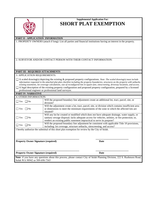

### **Supplemental Application For: SHORT PLAT EXEMPTION**

#### **PART II - APPLICATION INFORMATION**

1. PROPERTY OWNERS (attach if long): List all parties and financial institutions having an interest in the property.

2. SURVEYOR AND/OR CONTACT PERSON WITH THEIR CONTACT INFORMATION:

#### **PART III - REQUIRED ATTACHMENTS**

3. APPLICATION REQUIREMENTS:

- A scaled drawing(s) depicting the existing & proposed property configurations. *Note: The scaled drawing(s) must include information requested in the attached plat plan checklist including the property boundaries, structures on the property with setbacks, existing easements, lot coverage calculations, size of reconfigured lots in square feet, sitescreening, driveway locations, and access.* A legal description of the existing property configuration and proposed property configuration, prepared by a licensed
- professional engineer or professional land surveyor.

#### **PART IV- NARRATIVE**

| <b>4. OTHER INFORMATION:</b>         |                                                                                                     |  |  |  |
|--------------------------------------|-----------------------------------------------------------------------------------------------------|--|--|--|
| $\Box$ Yes $\Box$ No                 | Will the proposed boundary line adjustment create an additional lot, tract, parcel, site, or        |  |  |  |
|                                      | division?                                                                                           |  |  |  |
| $\Box$ Yes<br>$\mathsf{N}_0$         | Will the adjustment create a lot, tract, parcel, site, or division which contains insufficient area |  |  |  |
|                                      | or dimensions to meet the minimum requirements of the zone in which the affected lots are           |  |  |  |
|                                      | situated?                                                                                           |  |  |  |
|                                      | Will any lot be created or modified which does not have adequate drainage, water supply, or         |  |  |  |
| $\Box$ Yes<br>$\mathsf{N}$           | sanitary sewage disposal; lacks adequate access for vehicles, utilities, or fire protection; or,    |  |  |  |
|                                      | renders an existing public easement impractical to serve its purpose?                               |  |  |  |
| $\blacksquare$ Yes $\blacksquare$ No | Will the proposed boundary line adjustment be consistent with applicable Title 10 provisions,       |  |  |  |
|                                      | including: lot coverage, structure setbacks, sitescreening, and access?                             |  |  |  |

I hereby authorize the submittal of this short plat exemption for review by the City of Selah.

**Property Owner Signature (required) Date** 

#### **Property Owner Signature (required) Date**

Note: if you have any questions about this process, please contact City of Selah Planning Division, 222 S. Rushmore Road, Selah WA 98942 or 509-698-7365

**\_\_\_\_\_\_\_\_\_\_\_\_\_\_\_\_\_\_\_\_\_\_\_\_\_\_\_\_\_\_\_\_\_\_\_\_\_\_\_\_\_\_\_\_\_\_\_\_\_\_ \_\_\_\_\_\_\_\_\_\_\_\_\_\_\_\_\_\_\_\_\_\_\_\_\_\_**

**\_\_\_\_\_\_\_\_\_\_\_\_\_\_\_\_\_\_\_\_\_\_\_\_\_\_\_\_\_\_\_\_\_\_\_\_\_\_\_\_\_\_\_\_\_\_\_\_\_\_ \_\_\_\_\_\_\_\_\_\_\_\_\_\_\_\_\_\_\_\_\_\_\_\_\_\_**